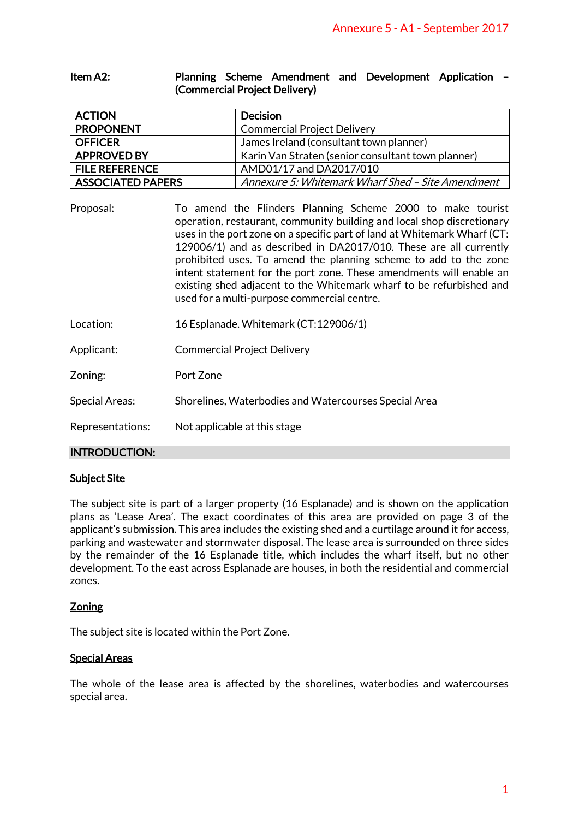| ltem A2: |                               |  |  |  | Planning Scheme Amendment and Development Application - |  |
|----------|-------------------------------|--|--|--|---------------------------------------------------------|--|
|          | (Commercial Project Delivery) |  |  |  |                                                         |  |

| <b>ACTION</b>            | <b>Decision</b>                                    |
|--------------------------|----------------------------------------------------|
| <b>PROPONENT</b>         | <b>Commercial Project Delivery</b>                 |
| <b>OFFICER</b>           | James Ireland (consultant town planner)            |
| <b>APPROVED BY</b>       | Karin Van Straten (senior consultant town planner) |
| <b>FILE REFERENCE</b>    | AMD01/17 and DA2017/010                            |
| <b>ASSOCIATED PAPERS</b> | Annexure 5: Whitemark Wharf Shed - Site Amendment  |

|                                                                                                                                               |                                                                                                                                                                                                                                                                                                                                                                                                                                                                                                                                                        | Annexure 5 - A1 - September 2017                                                                                                                                                                                                                                                                                                                                                                                                                                                                                                                                                                                                                                                     |  |  |  |
|-----------------------------------------------------------------------------------------------------------------------------------------------|--------------------------------------------------------------------------------------------------------------------------------------------------------------------------------------------------------------------------------------------------------------------------------------------------------------------------------------------------------------------------------------------------------------------------------------------------------------------------------------------------------------------------------------------------------|--------------------------------------------------------------------------------------------------------------------------------------------------------------------------------------------------------------------------------------------------------------------------------------------------------------------------------------------------------------------------------------------------------------------------------------------------------------------------------------------------------------------------------------------------------------------------------------------------------------------------------------------------------------------------------------|--|--|--|
| Item A2:                                                                                                                                      | Planning Scheme Amendment and Development Application<br>(Commercial Project Delivery)                                                                                                                                                                                                                                                                                                                                                                                                                                                                 |                                                                                                                                                                                                                                                                                                                                                                                                                                                                                                                                                                                                                                                                                      |  |  |  |
| <b>ACTION</b>                                                                                                                                 |                                                                                                                                                                                                                                                                                                                                                                                                                                                                                                                                                        | <b>Decision</b>                                                                                                                                                                                                                                                                                                                                                                                                                                                                                                                                                                                                                                                                      |  |  |  |
| <b>PROPONENT</b>                                                                                                                              |                                                                                                                                                                                                                                                                                                                                                                                                                                                                                                                                                        | <b>Commercial Project Delivery</b>                                                                                                                                                                                                                                                                                                                                                                                                                                                                                                                                                                                                                                                   |  |  |  |
| <b>OFFICER</b>                                                                                                                                |                                                                                                                                                                                                                                                                                                                                                                                                                                                                                                                                                        | James Ireland (consultant town planner)                                                                                                                                                                                                                                                                                                                                                                                                                                                                                                                                                                                                                                              |  |  |  |
| <b>APPROVED BY</b>                                                                                                                            |                                                                                                                                                                                                                                                                                                                                                                                                                                                                                                                                                        | Karin Van Straten (senior consultant town planner)                                                                                                                                                                                                                                                                                                                                                                                                                                                                                                                                                                                                                                   |  |  |  |
| <b>FILE REFERENCE</b>                                                                                                                         |                                                                                                                                                                                                                                                                                                                                                                                                                                                                                                                                                        | AMD01/17 and DA2017/010                                                                                                                                                                                                                                                                                                                                                                                                                                                                                                                                                                                                                                                              |  |  |  |
| <b>ASSOCIATED PAPERS</b>                                                                                                                      |                                                                                                                                                                                                                                                                                                                                                                                                                                                                                                                                                        | Annexure 5: Whitemark Wharf Shed - Site Amendment                                                                                                                                                                                                                                                                                                                                                                                                                                                                                                                                                                                                                                    |  |  |  |
| Proposal:                                                                                                                                     | To amend the Flinders Planning Scheme 2000 to make tourist<br>operation, restaurant, community building and local shop discretionary<br>uses in the port zone on a specific part of land at Whitemark Wharf (CT:<br>129006/1) and as described in DA2017/010. These are all currently<br>prohibited uses. To amend the planning scheme to add to the zone<br>intent statement for the port zone. These amendments will enable an<br>existing shed adjacent to the Whitemark wharf to be refurbished and<br>used for a multi-purpose commercial centre. |                                                                                                                                                                                                                                                                                                                                                                                                                                                                                                                                                                                                                                                                                      |  |  |  |
| Location:                                                                                                                                     | 16 Esplanade. Whitemark (CT:129006/1)                                                                                                                                                                                                                                                                                                                                                                                                                                                                                                                  |                                                                                                                                                                                                                                                                                                                                                                                                                                                                                                                                                                                                                                                                                      |  |  |  |
| Applicant:                                                                                                                                    | <b>Commercial Project Delivery</b>                                                                                                                                                                                                                                                                                                                                                                                                                                                                                                                     |                                                                                                                                                                                                                                                                                                                                                                                                                                                                                                                                                                                                                                                                                      |  |  |  |
| Zoning:                                                                                                                                       | Port Zone                                                                                                                                                                                                                                                                                                                                                                                                                                                                                                                                              |                                                                                                                                                                                                                                                                                                                                                                                                                                                                                                                                                                                                                                                                                      |  |  |  |
| <b>Special Areas:</b>                                                                                                                         | Shorelines, Waterbodies and Watercourses Special Area                                                                                                                                                                                                                                                                                                                                                                                                                                                                                                  |                                                                                                                                                                                                                                                                                                                                                                                                                                                                                                                                                                                                                                                                                      |  |  |  |
| Representations:                                                                                                                              | Not applicable at this stage                                                                                                                                                                                                                                                                                                                                                                                                                                                                                                                           |                                                                                                                                                                                                                                                                                                                                                                                                                                                                                                                                                                                                                                                                                      |  |  |  |
| <b>INTRODUCTION:</b>                                                                                                                          |                                                                                                                                                                                                                                                                                                                                                                                                                                                                                                                                                        |                                                                                                                                                                                                                                                                                                                                                                                                                                                                                                                                                                                                                                                                                      |  |  |  |
| <u>Subject Site</u><br>zones.<br><u>Zoning</u><br>The subject site is located within the Port Zone.<br><u> Special Areas</u><br>special area. |                                                                                                                                                                                                                                                                                                                                                                                                                                                                                                                                                        | The subject site is part of a larger property (16 Esplanade) and is shown on the application<br>plans as 'Lease Area'. The exact coordinates of this area are provided on page 3 of the<br>applicant's submission. This area includes the existing shed and a curtilage around it for access,<br>parking and wastewater and stormwater disposal. The lease area is surrounded on three sides<br>by the remainder of the 16 Esplanade title, which includes the wharf itself, but no other<br>development. To the east across Esplanade are houses, in both the residential and commercial<br>The whole of the lease area is affected by the shorelines, waterbodies and watercourses |  |  |  |
|                                                                                                                                               |                                                                                                                                                                                                                                                                                                                                                                                                                                                                                                                                                        | 1                                                                                                                                                                                                                                                                                                                                                                                                                                                                                                                                                                                                                                                                                    |  |  |  |

- Location: 16 Esplanade. Whitemark (CT:129006/1)
- Applicant: Commercial Project Delivery
- Zoning: Port Zone
- Special Areas: Shorelines, Waterbodies and Watercourses Special Area
- Representations: Not applicable at this stage

### INTRODUCTION:

#### Subject Site

### **Zoning**

### Special Areas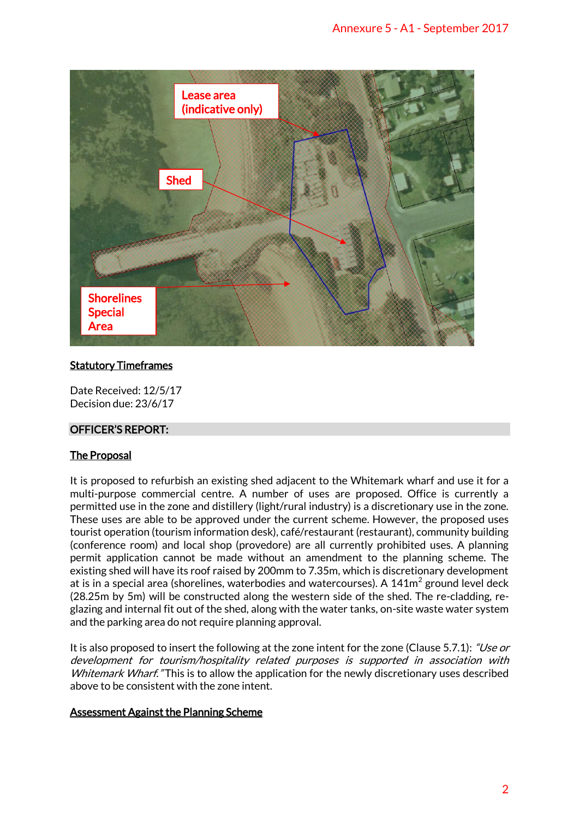

# Statutory Timeframes

Date Received: 12/5/17 Decision due: 23/6/17

# OFFICER'S REPORT:

# The Proposal

It is proposed to refurbish an existing shed adjacent to the Whitemark wharf and use it for a multi-purpose commercial centre. A number of uses are proposed. Office is currently a permitted use in the zone and distillery (light/rural industry) is a discretionary use in the zone. These uses are able to be approved under the current scheme. However, the proposed uses tourist operation (tourism information desk), café/restaurant (restaurant), community building (conference room) and local shop (provedore) are all currently prohibited uses. A planning permit application cannot be made without an amendment to the planning scheme. The existing shed will have its roof raised by 200mm to 7.35m, which is discretionary development at is in a special area (shorelines, waterbodies and watercourses). A  $141m^2$  ground level deck (28.25m by 5m) will be constructed along the western side of the shed. The re-cladding, reglazing and internal fit out of the shed, along with the water tanks, on-site waste water system and the parking area do not require planning approval.

It is also proposed to insert the following at the zone intent for the zone (Clause 5.7.1): "Use or development for tourism/hospitality related purposes is supported in association with Whitemark Wharf." This is to allow the application for the newly discretionary uses described above to be consistent with the zone intent.

### Assessment Against the Planning Scheme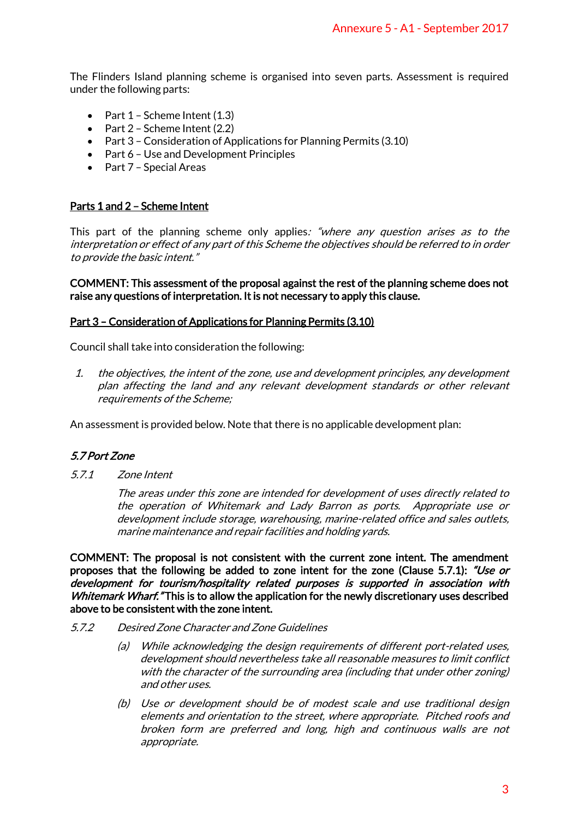The Flinders Island planning scheme is organised into seven parts. Assessment is required under the following parts:

- $\bullet$  Part 1 Scheme Intent (1.3)
- $\bullet$  Part 2 Scheme Intent (2.2)
- Part 3 Consideration of Applications for Planning Permits (3.10)
- Part 6 Use and Development Principles
- Part 7 Special Areas

## Parts 1 and 2 – Scheme Intent

This part of the planning scheme only applies: "where any question arises as to the interpretation or effect of any part of this Scheme the objectives should be referred to in order to provide the basic intent."

### COMMENT: This assessment of the proposal against the rest of the planning scheme does not raise any questions of interpretation. It is not necessary to apply this clause.

## Part 3 – Consideration of Applications for Planning Permits (3.10)

Council shall take into consideration the following:

1. the objectives, the intent of the zone, use and development principles, any development plan affecting the land and any relevant development standards or other relevant requirements of the Scheme;

An assessment is provided below. Note that there is no applicable development plan:

# 5.7 Port Zone

5.7.1 Zone Intent

The areas under this zone are intended for development of uses directly related to the operation of Whitemark and Lady Barron as ports. Appropriate use or development include storage, warehousing, marine-related office and sales outlets, marine maintenance and repair facilities and holding yards.

COMMENT: The proposal is not consistent with the current zone intent. The amendment proposes that the following be added to zone intent for the zone (Clause 5.7.1): "Use or development for tourism/hospitality related purposes is supported in association with Whitemark Wharf. "This is to allow the application for the newly discretionary uses described above to be consistent with the zone intent. Annexure 5 - A1 - September 2017<br>seven parts. Assessment is required<br>generations and the referred to in order<br>ignities should be referred to in order<br>rest of the planning scheme does not<br>comply this clause.<br>are the plannin

- 5.7.2 Desired Zone Character and Zone Guidelines
	- (a) While acknowledging the design requirements of different port-related uses, development should nevertheless take all reasonable measures to limit conflict with the character of the surrounding area (including that under other zoning) and other uses.
	- (b) Use or development should be of modest scale and use traditional design elements and orientation to the street, where appropriate. Pitched roofs and broken form are preferred and long, high and continuous walls are not appropriate.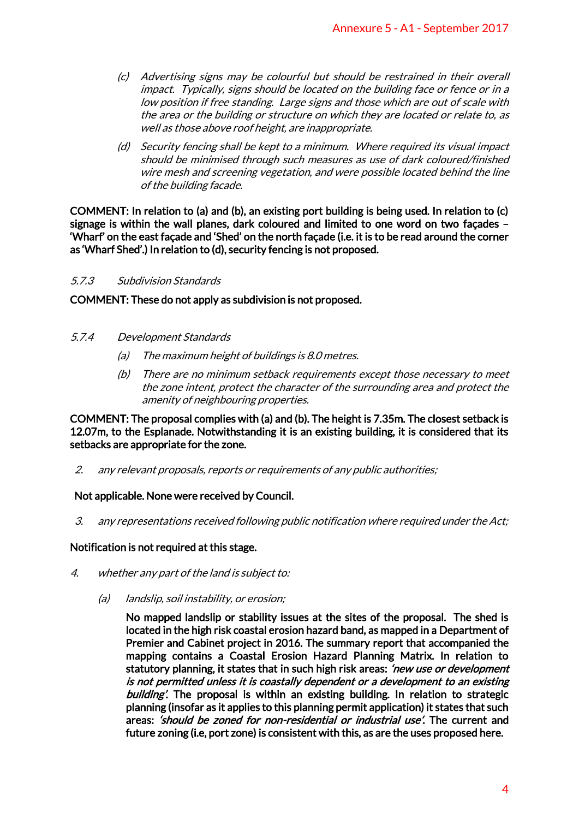- (c) Advertising signs may be colourful but should be restrained in their overall impact. Typically, signs should be located on the building face or fence or in a low position if free standing. Large signs and those which are out of scale with the area or the building or structure on which they are located or relate to, as well as those above roof height, are inappropriate.
- (d) Security fencing shall be kept to a minimum. Where required its visual impact should be minimised through such measures as use of dark coloured/finished wire mesh and screening vegetation, and were possible located behind the line of the building facade.

COMMENT: In relation to (a) and (b), an existing port building is being used. In relation to (c) signage is within the wall planes, dark coloured and limited to one word on two façades – 'Wharf' on the east façade and 'Shed' on the north façade (i.e. it is to be read around the corner as 'Wharf Shed'.) In relation to (d), security fencing is not proposed.

## 5.7.3 Subdivision Standards

COMMENT: These do not apply as subdivision is not proposed.

- 5.7.4 Development Standards
	- (a) The maximum height of buildings is 8.0 metres.
	- (b) There are no minimum setback requirements except those necessary to meet the zone intent, protect the character of the surrounding area and protect the amenity of neighbouring properties.

COMMENT: The proposal complies with (a) and (b). The height is 7.35m. The closest setback is 12.07m, to the Esplanade. Notwithstanding it is an existing building, it is considered that its setbacks are appropriate for the zone.

2. any relevant proposals, reports or requirements of any public authorities;

# Not applicable. None were received by Council.

3. any representations received following public notification where required under the Act;

# Notification is not required at this stage.

- 4. whether any part of the land is subject to:
	- (a) landslip, soil instability, or erosion;

No mapped landslip or stability issues at the sites of the proposal. The shed is located in the high risk coastal erosion hazard band, as mapped in a Department of Premier and Cabinet project in 2016. The summary report that accompanied the mapping contains a Coastal Erosion Hazard Planning Matrix. In relation to statutory planning, it states that in such high risk areas: 'new use or development' is not permitted unless it is coastally dependent or a development to an existing building'. The proposal is within an existing building. In relation to strategic planning (insofar as it applies to this planning permit application) it states that such areas: *'should be zoned for non-residential or industrial use'*. The current and future zoning (i.e, port zone) is consistent with this, as are the uses proposed here. Annexure 5 - A1 - September 2017<br>
should be restrained in their overal<br>
don the building face or fence or in a<br>
and those which are out of scale with<br>
and those which are out of scale with<br>
which they are located or relate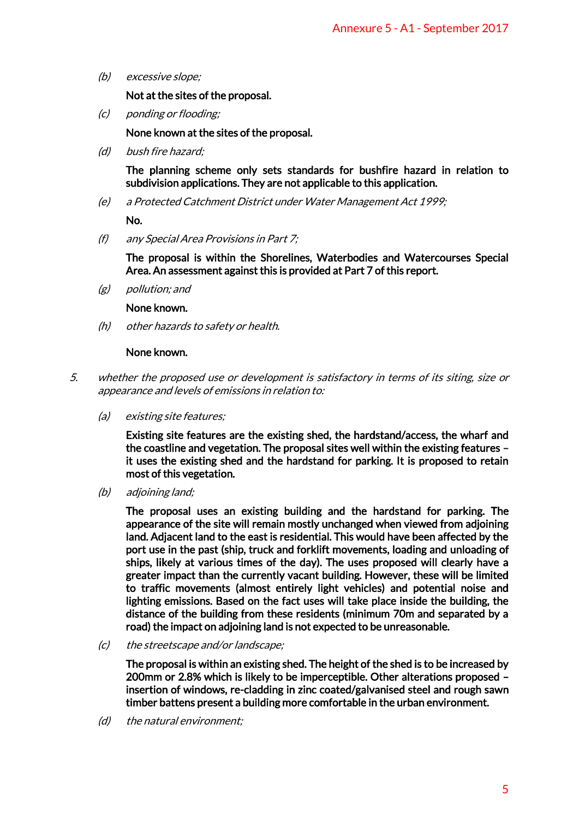(b) excessive slope;

Not at the sites of the proposal.

(c) ponding or flooding;

None known at the sites of the proposal.

(d) bush fire hazard;

The planning scheme only sets standards for bushfire hazard in relation to subdivision applications. They are not applicable to this application.

(e) a Protected Catchment District under Water Management Act 1999;

No.

(f) any Special Area Provisions in Part 7;

The proposal is within the Shorelines, Waterbodies and Watercourses Special Area. An assessment against this is provided at Part 7 of this report.

(g) pollution; and

#### None known.

(h) other hazards to safety or health.

#### None known.

- 5. whether the proposed use or development is satisfactory in terms of its siting, size or appearance and levels of emissions in relation to:
	- (a) existing site features;

Existing site features are the existing shed, the hardstand/access, the wharf and the coastline and vegetation. The proposal sites well within the existing features – it uses the existing shed and the hardstand for parking. It is proposed to retain most of this vegetation.

(b) adjoining land;

The proposal uses an existing building and the hardstand for parking. The appearance of the site will remain mostly unchanged when viewed from adjoining land. Adjacent land to the east is residential. This would have been affected by the port use in the past (ship, truck and forklift movements, loading and unloading of ships, likely at various times of the day). The uses proposed will clearly have a greater impact than the currently vacant building. However, these will be limited to traffic movements (almost entirely light vehicles) and potential noise and lighting emissions. Based on the fact uses will take place inside the building, the distance of the building from these residents (minimum 70m and separated by a road) the impact on adjoining land is not expected to be unreasonable. Annexure 5 - A1 - September 2017<br>
Sobieto this application.<br>
Annexure 5 - A1 - September 2017<br>
Annexement Act 1999;<br>
Annexement Act 1999;<br>
Aterhodies and Watercourses Special<br>
at Part 7 of this report.<br>
At Part 7 of this r

(c) the streetscape and/or landscape;

The proposal is within an existing shed. The height of the shed is to be increased by 200mm or 2.8% which is likely to be imperceptible. Other alterations proposed – insertion of windows, re-cladding in zinc coated/galvanised steel and rough sawn timber battens present a building more comfortable in the urban environment.

(d) the natural environment;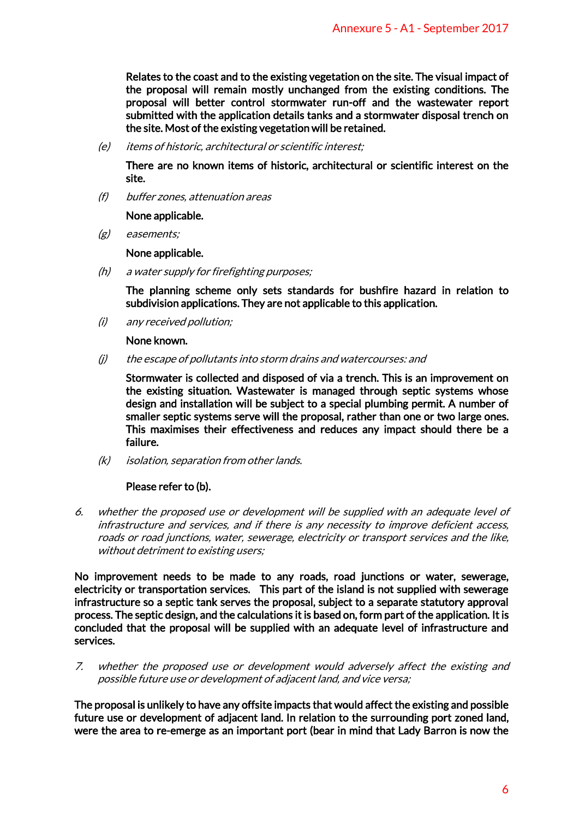Relates to the coast and to the existing vegetation on the site. The visual impact of the proposal will remain mostly unchanged from the existing conditions. The proposal will better control stormwater run-off and the wastewater report submitted with the application details tanks and a stormwater disposal trench on the site. Most of the existing vegetation will be retained.

(e) items of historic, architectural or scientific interest;

There are no known items of historic, architectural or scientific interest on the site.

(f) buffer zones, attenuation areas

None applicable.

(g) easements;

None applicable.

(h) a water supply for firefighting purposes;

The planning scheme only sets standards for bushfire hazard in relation to subdivision applications. They are not applicable to this application.

(i) any received pollution;

None known.

(j) the escape of pollutants into storm drains and watercourses: and

Stormwater is collected and disposed of via a trench. This is an improvement on the existing situation. Wastewater is managed through septic systems whose design and installation will be subject to a special plumbing permit. A number of smaller septic systems serve will the proposal, rather than one or two large ones. This maximises their effectiveness and reduces any impact should there be a failure. Annexure 5 - A1 - September 2017<br>
Atation on the site. The visual impact of<br>
d from the existing conditions. The<br>
run-off and the wastewater report<br>
run-off and the wastewater report<br>
and a stormwater disposal trench on<br>
t

(k) isolation, separation from other lands.

### Please refer to (b).

6. whether the proposed use or development will be supplied with an adequate level of infrastructure and services, and if there is any necessity to improve deficient access, roads or road junctions, water, sewerage, electricity or transport services and the like, without detriment to existing users;

No improvement needs to be made to any roads, road junctions or water, sewerage, electricity or transportation services. This part of the island is not supplied with sewerage infrastructure so a septic tank serves the proposal, subject to a separate statutory approval process. The septic design, and the calculations it is based on, form part of the application. It is concluded that the proposal will be supplied with an adequate level of infrastructure and services.

7. whether the proposed use or development would adversely affect the existing and possible future use or development of adjacent land, and vice versa;

The proposal is unlikely to have any offsite impacts that would affect the existing and possible future use or development of adjacent land. In relation to the surrounding port zoned land, were the area to re-emerge as an important port (bear in mind that Lady Barron is now the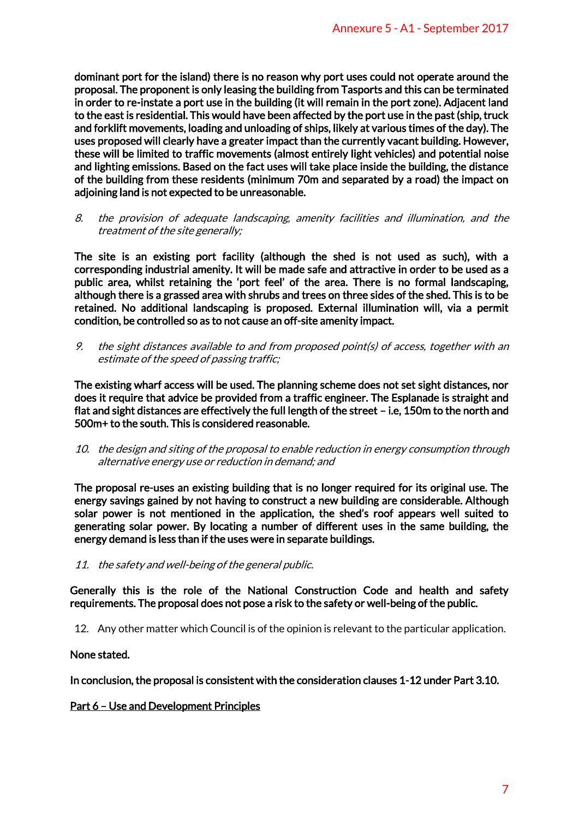dominant port for the island) there is no reason why port uses could not operate around the proposal. The proponent is only leasing the building from Tasports and this can be terminated in order to re-instate a port use in the building (it will remain in the port zone). Adjacent land to the east is residential. This would have been affected by the port use in the past (ship, truck and forklift movements, loading and unloading of ships, likely at various times of the day). The uses proposed will clearly have a greater impact than the currently vacant building. However, these will be limited to traffic movements (almost entirely light vehicles) and potential noise and lighting emissions. Based on the fact uses will take place inside the building, the distance of the building from these residents (minimum 70m and separated by a road) the impact on adjoining land is not expected to be unreasonable. Annexure 5 - A1 - September 2017<br>ort uses could not operate around the<br>m Tasports and this can be terminated<br>main in the port zone). Adjacent land<br>by the port use in the past (ship, truck<br>likely at various times of the day

8. the provision of adequate landscaping, amenity facilities and illumination, and the treatment of the site generally;

The site is an existing port facility (although the shed is not used as such), with a corresponding industrial amenity. It will be made safe and attractive in order to be used as a public area, whilst retaining the 'port feel' of the area. There is no formal landscaping, although there is a grassed area with shrubs and trees on three sides of the shed. This is to be retained. No additional landscaping is proposed. External illumination will, via a permit condition, be controlled so as to not cause an off-site amenity impact.

9. the sight distances available to and from proposed point(s) of access, together with an estimate of the speed of passing traffic;

The existing wharf access will be used. The planning scheme does not set sight distances, nor does it require that advice be provided from a traffic engineer. The Esplanade is straight and flat and sight distances are effectively the full length of the street – i.e, 150m to the north and 500m+ to the south. This is considered reasonable.

10. the design and siting of the proposal to enable reduction in energy consumption through alternative energy use or reduction in demand; and

The proposal re-uses an existing building that is no longer required for its original use. The energy savings gained by not having to construct a new building are considerable. Although solar power is not mentioned in the application, the shed's roof appears well suited to generating solar power. By locating a number of different uses in the same building, the energy demand is less than if the uses were in separate buildings.

11. the safety and well-being of the general public.

Generally this is the role of the National Construction Code and health and safety requirements. The proposal does not pose a risk to the safety or well-being of the public.

12. Any other matter which Council is of the opinion is relevant to the particular application.

### None stated.

In conclusion, the proposal is consistent with the consideration clauses 1-12 under Part 3.10.

### Part 6 – Use and Development Principles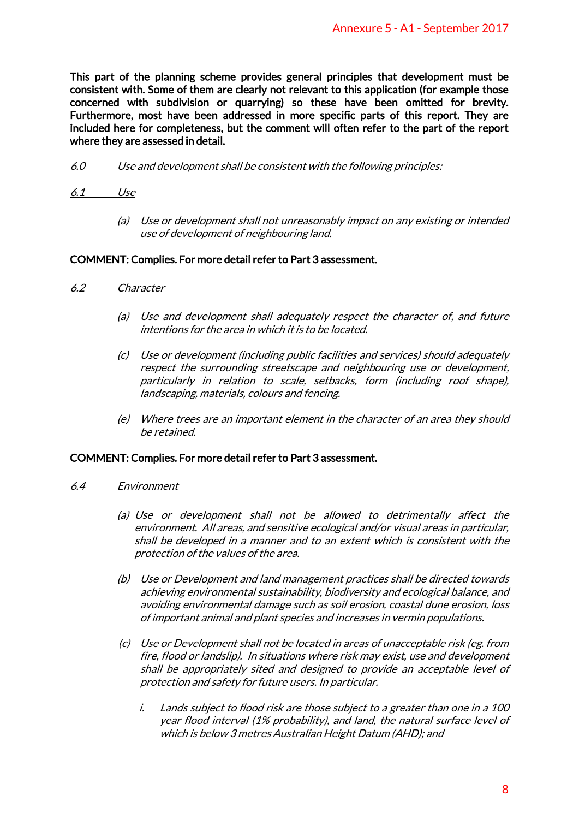This part of the planning scheme provides general principles that development must be consistent with. Some of them are clearly not relevant to this application (for example those concerned with subdivision or quarrying) so these have been omitted for brevity. Furthermore, most have been addressed in more specific parts of this report. They are included here for completeness, but the comment will often refer to the part of the report where they are assessed in detail. Annexure 5 - A1 - September 2017<br>
rinciples that development must be<br>
to this application (for example those<br>
the have been omitted for brevity.<br>
eclic parts of this report. They are<br>
often refer to the part of the report<br>

- 6.0 Use and development shall be consistent with the following principles:
- 6.1 Use
	- (a) Use or development shall not unreasonably impact on any existing or intended use of development of neighbouring land.

## COMMENT: Complies. For more detail refer to Part 3 assessment.

#### 6.2 Character

- (a) Use and development shall adequately respect the character of, and future intentions for the area in which it is to be located.
- (c) Use or development (including public facilities and services) should adequately respect the surrounding streetscape and neighbouring use or development, particularly in relation to scale, setbacks, form (including roof shape), landscaping, materials, colours and fencing.
- (e) Where trees are an important element in the character of an area they should be retained.

#### COMMENT: Complies. For more detail refer to Part 3 assessment.

- 6.4 Environment
	- (a) Use or development shall not be allowed to detrimentally affect the environment. All areas, and sensitive ecological and/or visual areas in particular, shall be developed in a manner and to an extent which is consistent with the protection of the values of the area.
	- (b) Use or Development and land management practices shall be directed towards achieving environmental sustainability, biodiversity and ecological balance, and avoiding environmental damage such as soil erosion, coastal dune erosion, loss of important animal and plant species and increases in vermin populations.
	- (c) Use or Development shall not be located in areas of unacceptable risk (eg. from fire, flood or landslip). In situations where risk may exist, use and development shall be appropriately sited and designed to provide an acceptable level of protection and safety for future users. In particular.
		- i. Lands subject to flood risk are those subject to a greater than one in a 100 year flood interval (1% probability), and land, the natural surface level of which is below 3 metres Australian Height Datum (AHD); and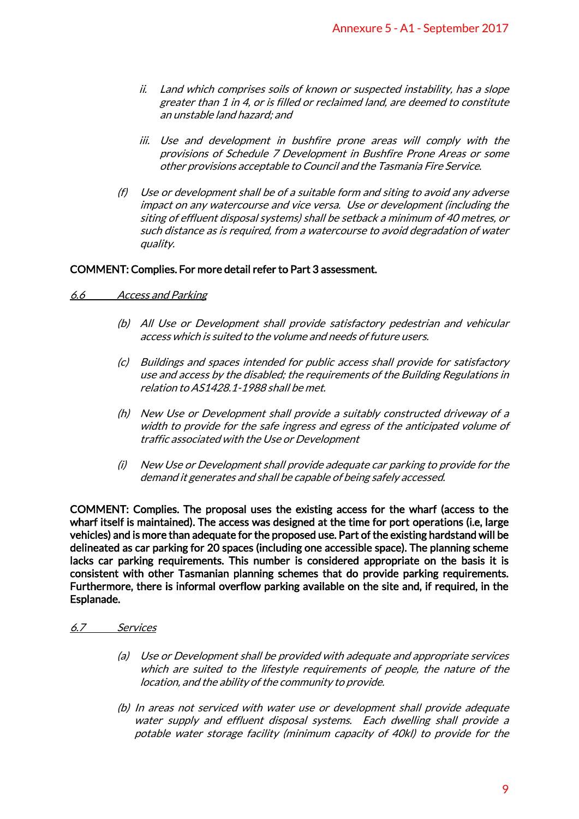- ii. Land which comprises soils of known or suspected instability, has a slope greater than 1 in 4, or is filled or reclaimed land, are deemed to constitute an unstable land hazard; and
- iii. Use and development in bushfire prone areas will comply with the provisions of Schedule 7 Development in Bushfire Prone Areas or some other provisions acceptable to Council and the Tasmania Fire Service.
- (f) Use or development shall be of a suitable form and siting to avoid any adverse impact on any watercourse and vice versa. Use or development (including the siting of effluent disposal systems) shall be setback a minimum of 40 metres, or such distance as is required, from a watercourse to avoid degradation of water quality.

## COMMENT: Complies. For more detail refer to Part 3 assessment.

- 6.6 Access and Parking
	- (b) All Use or Development shall provide satisfactory pedestrian and vehicular access which is suited to the volume and needs of future users.
	- (c) Buildings and spaces intended for public access shall provide for satisfactory use and access by the disabled; the requirements of the Building Regulations in relation to AS1428.1-1988 shall be met.
	- (h) New Use or Development shall provide a suitably constructed driveway of a width to provide for the safe ingress and egress of the anticipated volume of traffic associated with the Use or Development
	- (i) New Use or Development shall provide adequate car parking to provide for the demand it generates and shall be capable of being safely accessed.

COMMENT: Complies. The proposal uses the existing access for the wharf (access to the wharf itself is maintained). The access was designed at the time for port operations (i.e, large vehicles) and is more than adequate for the proposed use. Part of the existing hardstand will be delineated as car parking for 20 spaces (including one accessible space). The planning scheme lacks car parking requirements. This number is considered appropriate on the basis it is consistent with other Tasmanian planning schemes that do provide parking requirements. Furthermore, there is informal overflow parking available on the site and, if required, in the Esplanade. Annexure 5 - A1 - September 2017<br>
n or suspected instability, has a slope<br>
laimed land, are deemed to constitute<br>
prone areas will comply with the<br>
ent in Bushfire Prone Areas or some<br>
il and the Tasmania Fire Service.<br>
Eo

- 6.7 Services
	- (a) Use or Development shall be provided with adequate and appropriate services which are suited to the lifestyle requirements of people, the nature of the location, and the ability of the community to provide.
	- (b) In areas not serviced with water use or development shall provide adequate water supply and effluent disposal systems. Each dwelling shall provide a potable water storage facility (minimum capacity of 40kl) to provide for the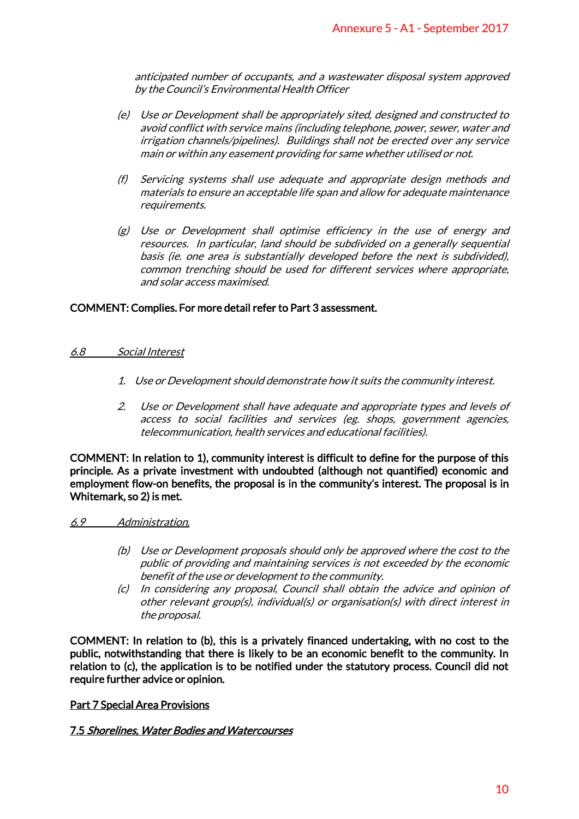anticipated number of occupants, and a wastewater disposal system approved by the Council's Environmental Health Officer

- (e) Use or Development shall be appropriately sited, designed and constructed to avoid conflict with service mains (including telephone, power, sewer, water and irrigation channels/pipelines). Buildings shall not be erected over any service main or within any easement providing for same whether utilised or not.
- (f) Servicing systems shall use adequate and appropriate design methods and materials to ensure an acceptable life span and allow for adequate maintenance requirements.
- (g) Use or Development shall optimise efficiency in the use of energy and resources. In particular, land should be subdivided on a generally sequential basis (ie. one area is substantially developed before the next is subdivided), common trenching should be used for different services where appropriate, and solar access maximised. Annexure 5 - A1 - September 2017<br>
vastewater disposal system approved<br>
vastewater disposal system approved<br>
vier<br>
ely sited, designed and constructed to<br>
the receted over any service<br>
shall not be erected over any service<br>

## COMMENT: Complies. For more detail refer to Part 3 assessment.

#### 6.8 Social Interest

- 1. Use or Development should demonstrate how it suits the community interest.
- 2. Use or Development shall have adequate and appropriate types and levels of access to social facilities and services (eg. shops, government agencies, telecommunication, health services and educational facilities).

COMMENT: In relation to 1), community interest is difficult to define for the purpose of this principle. As a private investment with undoubted (although not quantified) economic and employment flow-on benefits, the proposal is in the community's interest. The proposal is in Whitemark, so 2) is met.

### 6.9 Administration.

- (b) Use or Development proposals should only be approved where the cost to the public of providing and maintaining services is not exceeded by the economic benefit of the use or development to the community.
- (c) In considering any proposal, Council shall obtain the advice and opinion of other relevant group(s), individual(s) or organisation(s) with direct interest in the proposal.

COMMENT: In relation to (b), this is a privately financed undertaking, with no cost to the public, notwithstanding that there is likely to be an economic benefit to the community. In relation to (c), the application is to be notified under the statutory process. Council did not require further advice or opinion.

### Part 7 Special Area Provisions

### 7.5 Shorelines, Water Bodies and Watercourses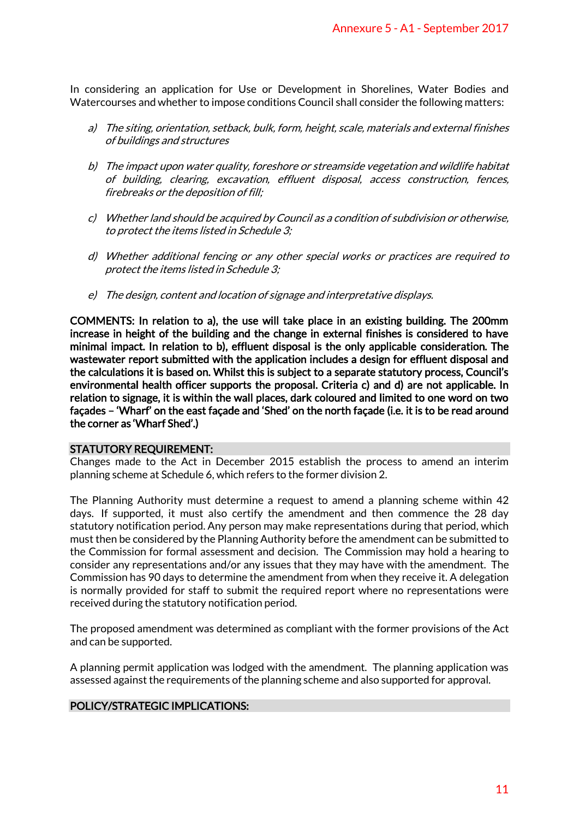In considering an application for Use or Development in Shorelines, Water Bodies and Watercourses and whether to impose conditions Council shall consider the following matters:

- a) The siting, orientation, setback, bulk, form, height, scale, materials and external finishes of buildings and structures
- b) The impact upon water quality, foreshore or streamside vegetation and wildlife habitat of building, clearing, excavation, effluent disposal, access construction, fences, firebreaks or the deposition of fill;
- c) Whether land should be acquired by Council as a condition of subdivision or otherwise, to protect the items listed in Schedule 3;
- d) Whether additional fencing or any other special works or practices are required to protect the items listed in Schedule 3;
- e) The design, content and location of signage and interpretative displays.

COMMENTS: In relation to a), the use will take place in an existing building. The 200mm increase in height of the building and the change in external finishes is considered to have minimal impact. In relation to b), effluent disposal is the only applicable consideration. The wastewater report submitted with the application includes a design for effluent disposal and the calculations it is based on. Whilst this is subject to a separate statutory process, Council's environmental health officer supports the proposal. Criteria c) and d) are not applicable. In relation to signage, it is within the wall places, dark coloured and limited to one word on two façades – 'Wharf' on the east façade and 'Shed' on the north façade (i.e. it is to be read around the corner as 'Wharf Shed'.) Annexure 5 - A1 - September 2017<br>
the in Shorelines, Water Bodies and<br>
shall consider the following matters:<br>
t, scale, materials and external finishes<br>
annside vegetation and wildlife habitat<br>
sposal, access construction,

### STATUTORY REQUIREMENT:

Changes made to the Act in December 2015 establish the process to amend an interim planning scheme at Schedule 6, which refers to the former division 2.

The Planning Authority must determine a request to amend a planning scheme within 42 days. If supported, it must also certify the amendment and then commence the 28 day statutory notification period. Any person may make representations during that period, which must then be considered by the Planning Authority before the amendment can be submitted to the Commission for formal assessment and decision. The Commission may hold a hearing to consider any representations and/or any issues that they may have with the amendment. The Commission has 90 days to determine the amendment from when they receive it. A delegation is normally provided for staff to submit the required report where no representations were received during the statutory notification period.

The proposed amendment was determined as compliant with the former provisions of the Act and can be supported.

A planning permit application was lodged with the amendment. The planning application was assessed against the requirements of the planning scheme and also supported for approval.

### POLICY/STRATEGIC IMPLICATIONS: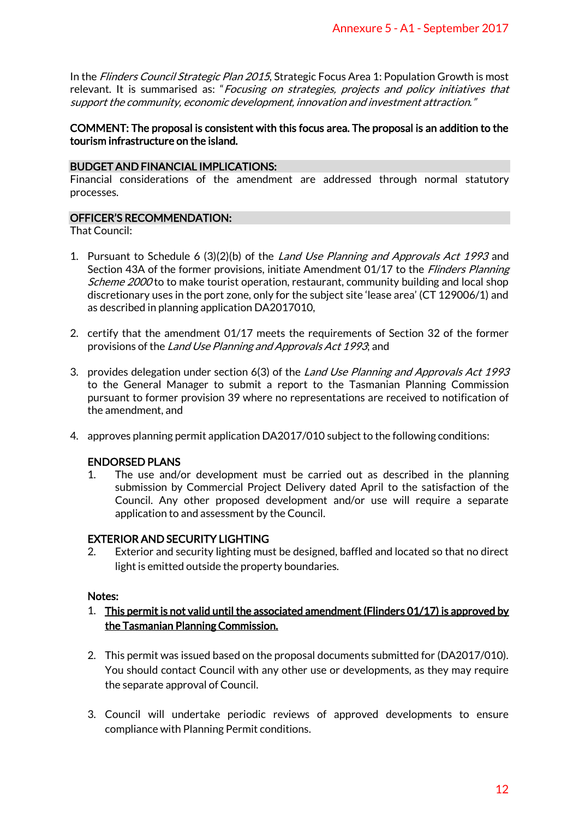In the *Flinders Council Strategic Plan 2015*, Strategic Focus Area 1: Population Growth is most relevant. It is summarised as: "Focusing on strategies, projects and policy initiatives that support the community, economic development, innovation and investment attraction."

## COMMENT: The proposal is consistent with this focus area. The proposal is an addition to the tourism infrastructure on the island.

# BUDGET AND FINANCIAL IMPLICATIONS:

Financial considerations of the amendment are addressed through normal statutory processes.

# OFFICER'S RECOMMENDATION:

That Council:

- 1. Pursuant to Schedule 6 (3)(2)(b) of the Land Use Planning and Approvals Act 1993 and Section 43A of the former provisions, initiate Amendment 01/17 to the *Flinders Planning* Scheme 2000 to to make tourist operation, restaurant, community building and local shop discretionary uses in the port zone, only for the subject site 'lease area' (CT 129006/1) and as described in planning application DA2017010, Annexure 5 - A1 - September 2017<br>
cus Area 1: Population Growth is most<br>
s, *projects and policy initiatives thal*<br>
ion and investment attraction.<sup>"</sup><br>
rea. The proposal is an addition to the<br>
rea. The proposal is an additi
- 2. certify that the amendment 01/17 meets the requirements of Section 32 of the former provisions of the Land Use Planning and Approvals Act 1993; and
- 3. provides delegation under section 6(3) of the *Land Use Planning and Approvals Act 1993* to the General Manager to submit a report to the Tasmanian Planning Commission pursuant to former provision 39 where no representations are received to notification of the amendment, and
- 4. approves planning permit application DA2017/010 subject to the following conditions:

### ENDORSED PLANS

1. The use and/or development must be carried out as described in the planning submission by Commercial Project Delivery dated April to the satisfaction of the Council. Any other proposed development and/or use will require a separate application to and assessment by the Council.

# EXTERIOR AND SECURITY LIGHTING

2. Exterior and security lighting must be designed, baffled and located so that no direct light is emitted outside the property boundaries.

### Notes:

# 1. This permit is not valid until the associated amendment (Flinders 01/17) is approved by the Tasmanian Planning Commission.

- 2. This permit was issued based on the proposal documents submitted for (DA2017/010). You should contact Council with any other use or developments, as they may require the separate approval of Council.
- 3. Council will undertake periodic reviews of approved developments to ensure compliance with Planning Permit conditions.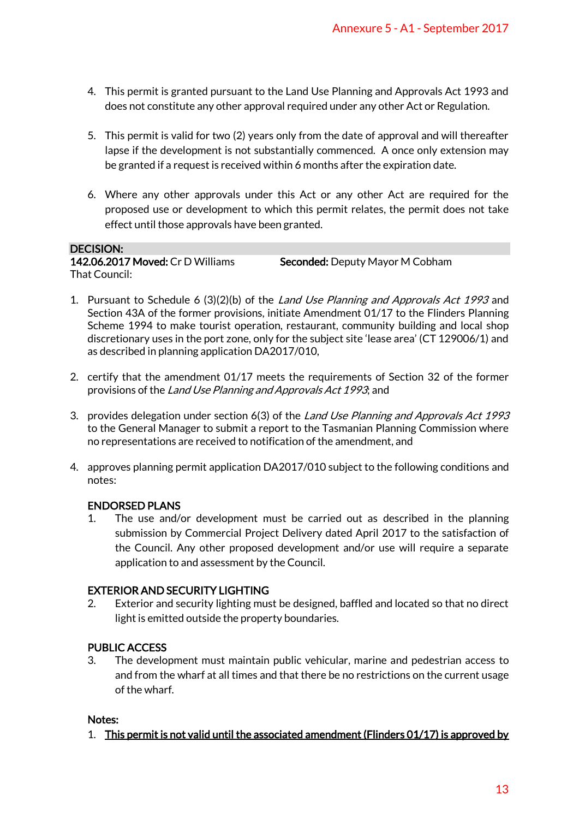- 4. This permit is granted pursuant to the Land Use Planning and Approvals Act 1993 and does not constitute any other approval required under any other Act or Regulation.
- 5. This permit is valid for two (2) years only from the date of approval and will thereafter lapse if the development is not substantially commenced. A once only extension may be granted if a request is received within 6 months after the expiration date.
- 6. Where any other approvals under this Act or any other Act are required for the proposed use or development to which this permit relates, the permit does not take effect until those approvals have been granted.

#### DECISION:

That Council:

142.06.2017 Moved: Cr D Williams Seconded: Deputy Mayor M Cobham

- 1. Pursuant to Schedule 6 (3)(2)(b) of the Land Use Planning and Approvals Act 1993 and Section 43A of the former provisions, initiate Amendment 01/17 to the Flinders Planning Scheme 1994 to make tourist operation, restaurant, community building and local shop discretionary uses in the port zone, only for the subject site 'lease area' (CT 129006/1) and as described in planning application DA2017/010, Annexure 5 - A1 - September 2017<br>
Planning and Approvals Act 1993 and<br>
planning and Approvals Act 1993 and<br>
under any other Act or Regulation.<br>
Le date of approval and will thereafter<br>
inmeraced. A once only extension may<br>
- 2. certify that the amendment 01/17 meets the requirements of Section 32 of the former provisions of the Land Use Planning and Approvals Act 1993; and
- 3. provides delegation under section 6(3) of the *Land Use Planning and Approvals Act 1993* to the General Manager to submit a report to the Tasmanian Planning Commission where no representations are received to notification of the amendment, and
- 4. approves planning permit application DA2017/010 subject to the following conditions and notes:

# ENDORSED PLANS

1. The use and/or development must be carried out as described in the planning submission by Commercial Project Delivery dated April 2017 to the satisfaction of the Council. Any other proposed development and/or use will require a separate application to and assessment by the Council.

# EXTERIOR AND SECURITY LIGHTING

2. Exterior and security lighting must be designed, baffled and located so that no direct light is emitted outside the property boundaries.

# PUBLIC ACCESS

3. The development must maintain public vehicular, marine and pedestrian access to and from the wharf at all times and that there be no restrictions on the current usage of the wharf.

## Notes:

1. This permit is not valid until the associated amendment (Flinders 01/17) is approved by